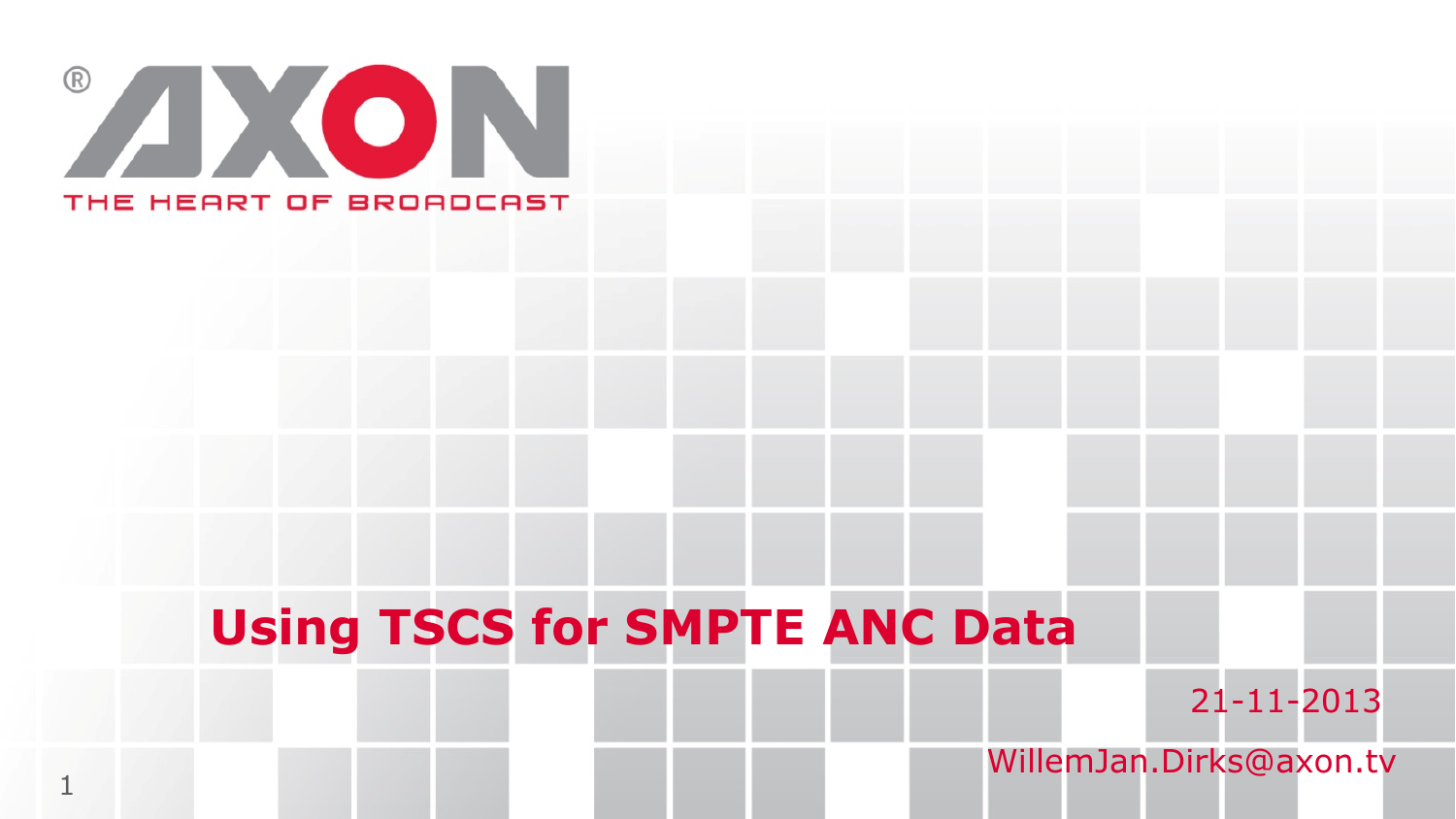

1

### **Using TSCS for SMPTE ANC Data**

21-11-2013

WillemJan.Dirks@axon.tv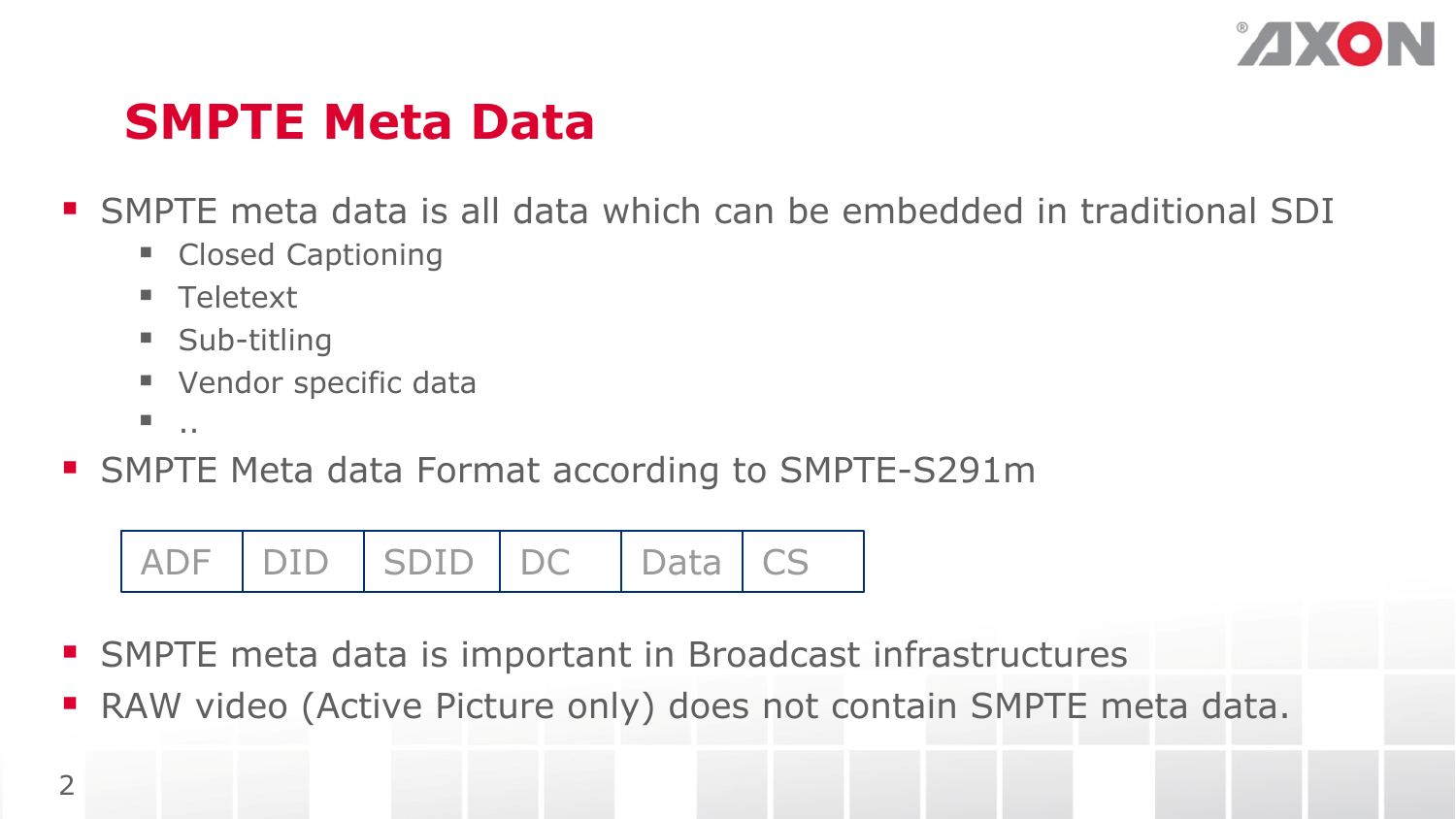

#### **SMPTE Meta Data**

§ SMPTE meta data is all data which can be embedded in traditional SDI

- Closed Captioning
- § Teletext
- Sub-titling
- Vendor specific data
- $\blacksquare$  . . .
- SMPTE Meta data Format according to SMPTE-S291m

**ADF** DID SDID DC Data CS

- SMPTE meta data is important in Broadcast infrastructures
- RAW video (Active Picture only) does not contain SMPTE meta data.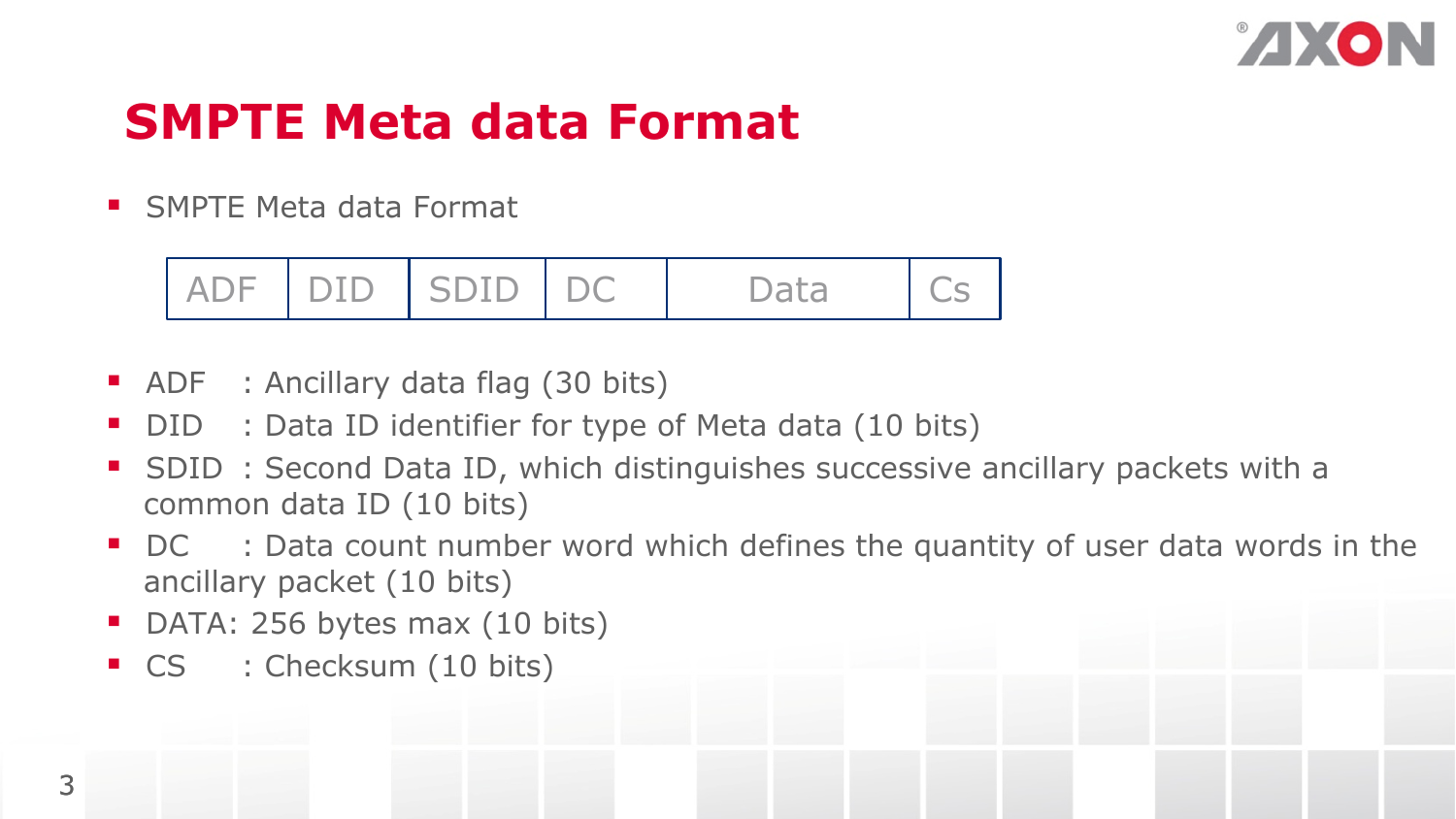

#### **SMPTE Meta data Format**

■ SMPTE Meta data Format



- ADF : Ancillary data flag (30 bits)
- DID : Data ID identifier for type of Meta data (10 bits)
- SDID : Second Data ID, which distinguishes successive ancillary packets with a common data ID (10 bits)
- DC : Data count number word which defines the quantity of user data words in the ancillary packet (10 bits)
- DATA: 256 bytes max (10 bits)
- CS : Checksum (10 bits)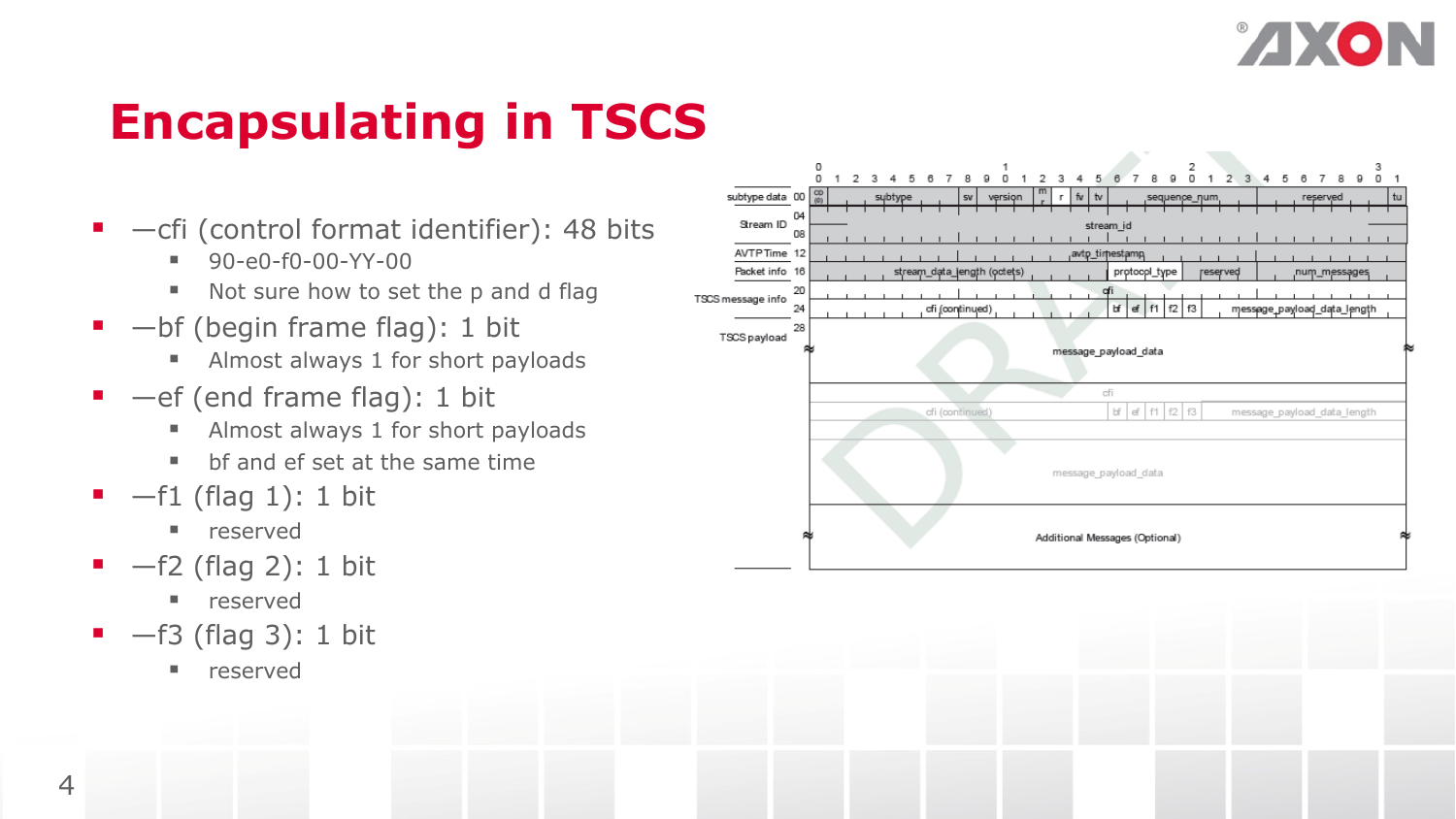

# **Encapsulating in TSCS**

- $\blacksquare$  -cfi (control format identifier): 48 bits
	- $\blacksquare$  90-e0-f0-00-YY-00
	- Not sure how to set the p and d flag
- $\blacksquare$  -bf (begin frame flag): 1 bit
	- Almost always 1 for short payloads
- $\blacksquare$  —ef (end frame flag): 1 bit
	- Almost always 1 for short payloads
	- § bf and ef set at the same time
- $\blacksquare$  -f1 (flag 1): 1 bit
	- reserved
- $\blacksquare$  -f2 (flag 2): 1 bit
	- § reserved
- $-63$  (flag 3): 1 bit
	- reserved

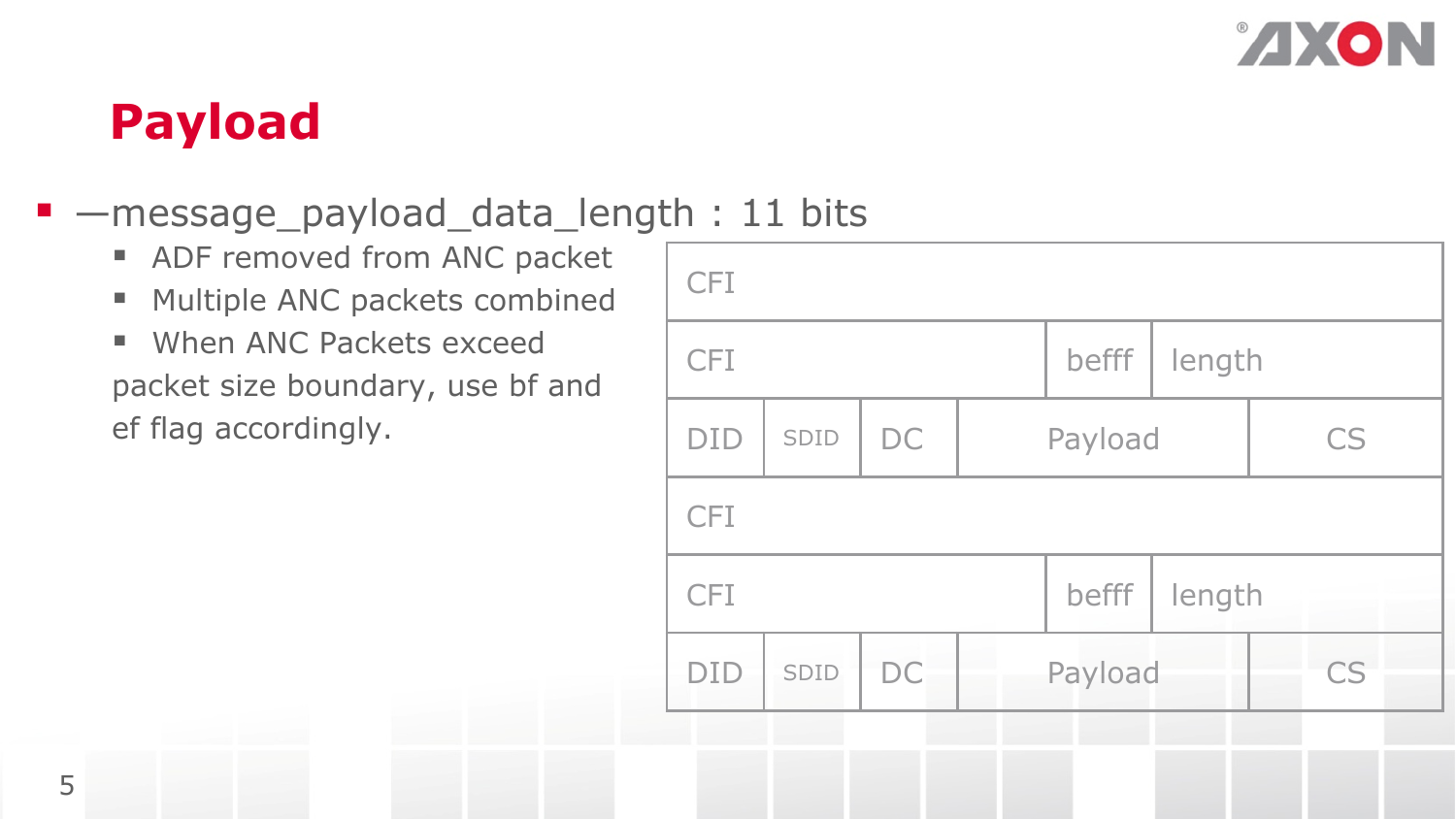

### **Payload**

#### § —message\_payload\_data\_length : 11 bits

- ADF removed from ANC packet
- Multiple ANC packets combined
- When ANC Packets exceed packet size boundary, use bf and ef flag accordingly.

| <b>CFI</b> |      |           |  |         |        |           |    |  |
|------------|------|-----------|--|---------|--------|-----------|----|--|
| <b>CFI</b> |      |           |  | befff   | length |           |    |  |
| <b>DID</b> | SDID | DC        |  | Payload |        | <b>CS</b> |    |  |
| <b>CFI</b> |      |           |  |         |        |           |    |  |
| <b>CFI</b> |      |           |  | befff   | length |           |    |  |
| <b>DID</b> | SDID | <b>DC</b> |  | Payload |        |           | CS |  |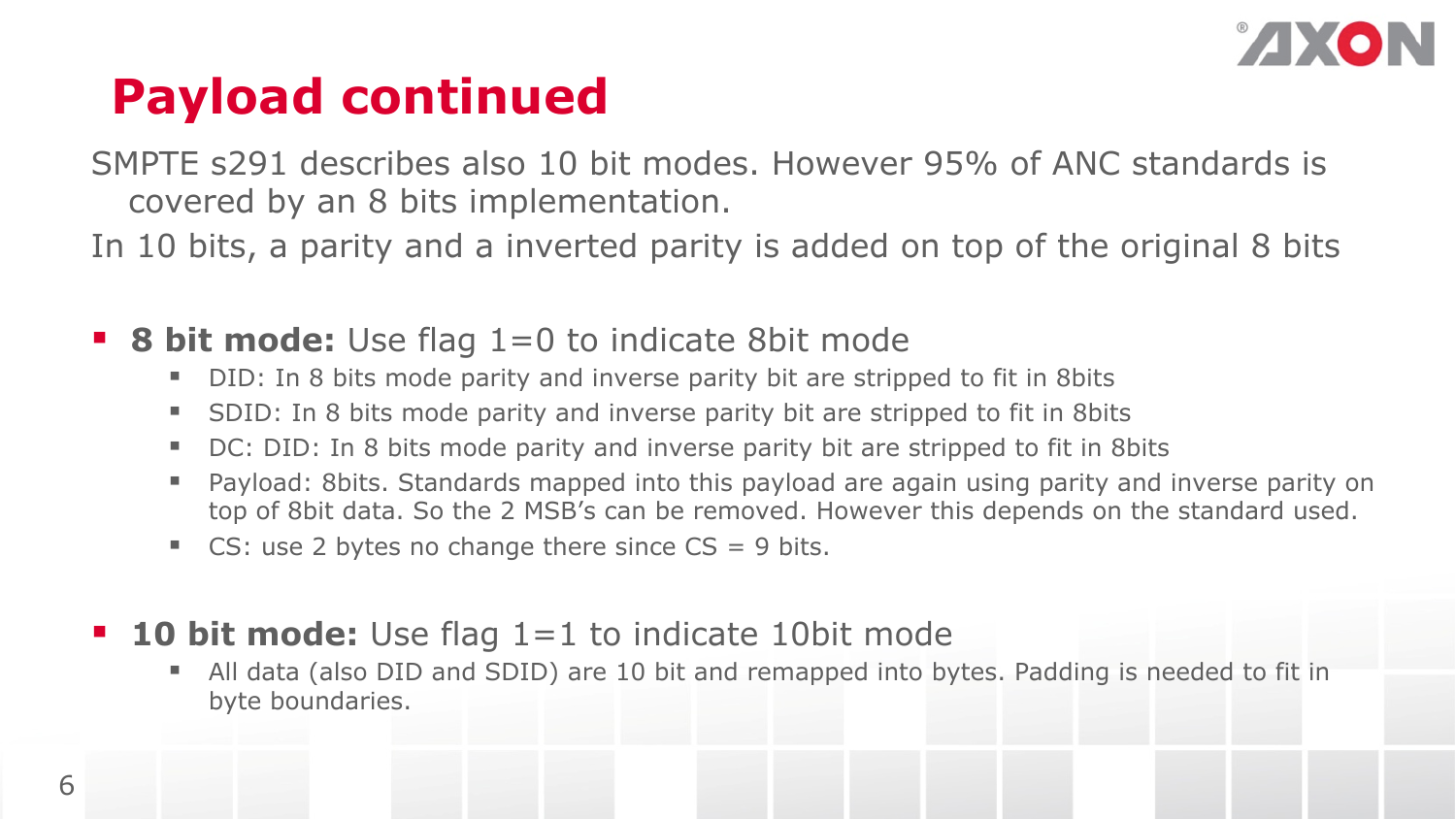

## **Payload continued**

SMPTE s291 describes also 10 bit modes. However 95% of ANC standards is covered by an 8 bits implementation.

In 10 bits, a parity and a inverted parity is added on top of the original 8 bits

- **8 bit mode:** Use flag 1=0 to indicate 8bit mode
	- § DID: In 8 bits mode parity and inverse parity bit are stripped to fit in 8bits
	- SDID: In 8 bits mode parity and inverse parity bit are stripped to fit in 8bits
	- DC: DID: In 8 bits mode parity and inverse parity bit are stripped to fit in 8 bits
	- Payload: 8bits. Standards mapped into this payload are again using parity and inverse parity on top of 8bit data. So the 2 MSB's can be removed. However this depends on the standard used.
	- CS: use 2 bytes no change there since  $CS = 9$  bits.
- **10 bit mode:** Use flag 1=1 to indicate 10bit mode
	- § All data (also DID and SDID) are 10 bit and remapped into bytes. Padding is needed to fit in byte boundaries.